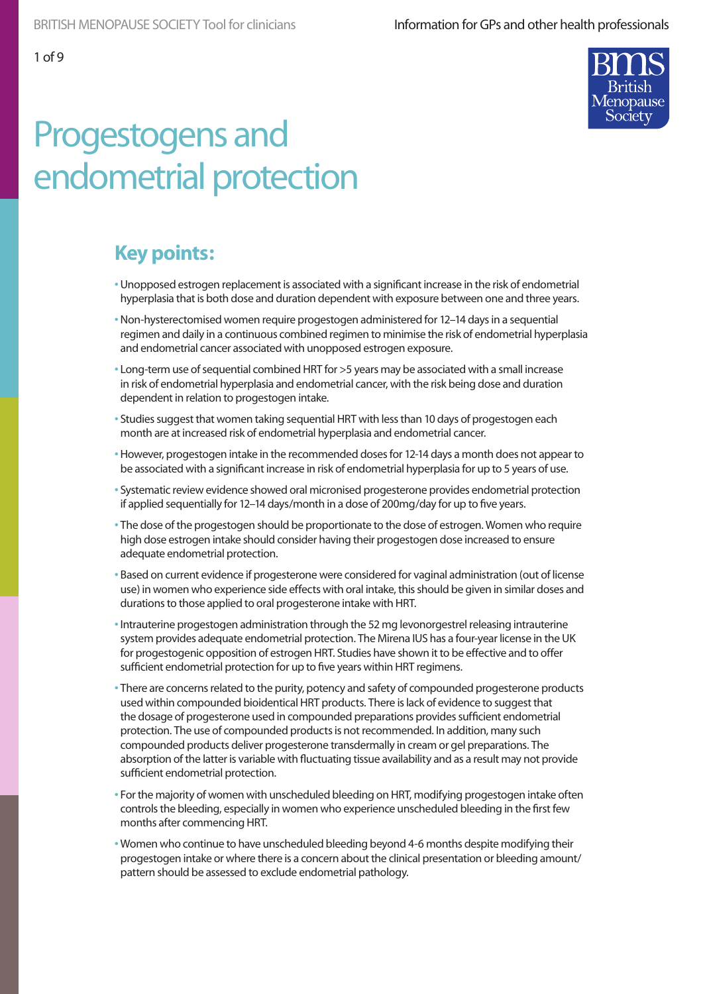1 of 9

# Progestogens and endometrial protection

# **Key points:**

- Unopposed estrogen replacement is associated with a significant increase in the risk of endometrial hyperplasia that is both dose and duration dependent with exposure between one and three years.
- Non-hysterectomised women require progestogen administered for 12–14 days in a sequential regimen and daily in a continuous combined regimen to minimise the risk of endometrial hyperplasia and endometrial cancer associated with unopposed estrogen exposure.
- Long-term use of sequential combined HRT for >5 years may be associated with a small increase in risk of endometrial hyperplasia and endometrial cancer, with the risk being dose and duration dependent in relation to progestogen intake.
- Studies suggest that women taking sequential HRT with less than 10 days of progestogen each month are at increased risk of endometrial hyperplasia and endometrial cancer.
- However, progestogen intake in the recommended doses for 12-14 days a month does not appear to be associated with a significant increase in risk of endometrial hyperplasia for up to 5 years of use.
- Systematic review evidence showed oral micronised progesterone provides endometrial protection if applied sequentially for 12–14 days/month in a dose of 200mg/day for up to five years.
- The dose of the progestogen should be proportionate to the dose of estrogen. Women who require high dose estrogen intake should consider having their progestogen dose increased to ensure adequate endometrial protection.
- Based on current evidence if progesterone were considered for vaginal administration (out of license use) in women who experience side effects with oral intake, this should be given in similar doses and durations to those applied to oral progesterone intake with HRT.
- Intrauterine progestogen administration through the 52 mg levonorgestrel releasing intrauterine system provides adequate endometrial protection. The Mirena IUS has a four-year license in the UK for progestogenic opposition of estrogen HRT. Studies have shown it to be effective and to offer sufficient endometrial protection for up to five years within HRT regimens.
- There are concerns related to the purity, potency and safety of compounded progesterone products used within compounded bioidentical HRT products. There is lack of evidence to suggest that the dosage of progesterone used in compounded preparations provides sufficient endometrial protection. The use of compounded products is not recommended. In addition, many such compounded products deliver progesterone transdermally in cream or gel preparations. The absorption of the latter is variable with fluctuating tissue availability and as a result may not provide sufficient endometrial protection.
- For the majority of women with unscheduled bleeding on HRT, modifying progestogen intake often controls the bleeding, especially in women who experience unscheduled bleeding in the first few months after commencing HRT.
- Women who continue to have unscheduled bleeding beyond 4-6 months despite modifying their progestogen intake or where there is a concern about the clinical presentation or bleeding amount/ pattern should be assessed to exclude endometrial pathology.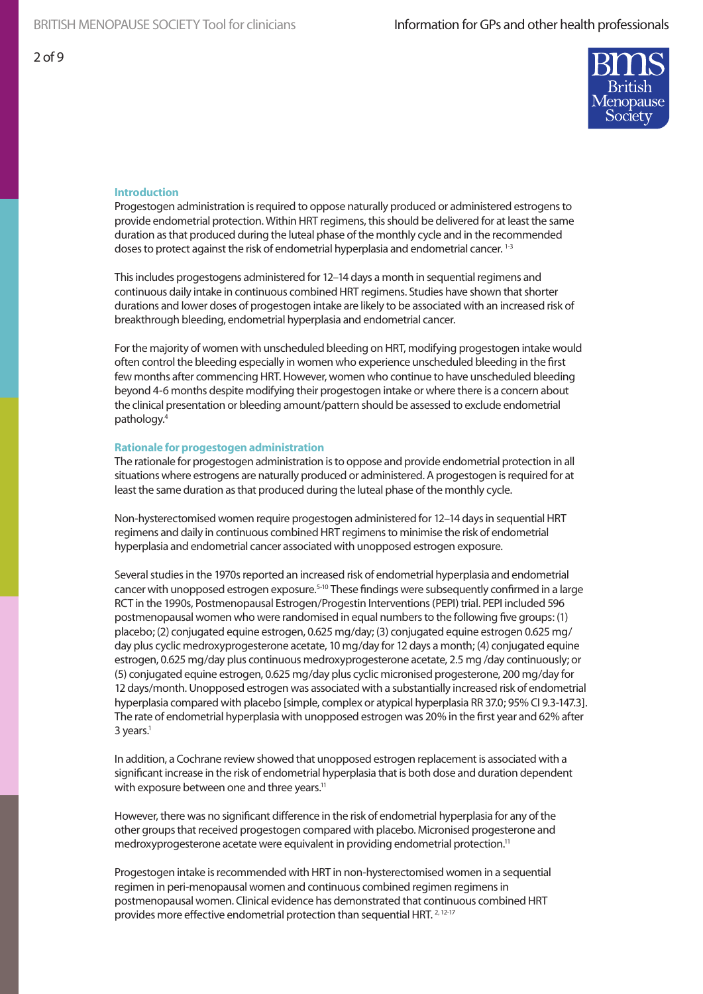2 of 9

# **Introduction**

Progestogen administration is required to oppose naturally produced or administered estrogens to provide endometrial protection. Within HRT regimens, this should be delivered for at least the same duration as that produced during the luteal phase of the monthly cycle and in the recommended doses to protect against the risk of endometrial hyperplasia and endometrial cancer.<sup>1-3</sup>

This includes progestogens administered for 12–14 days a month in sequential regimens and continuous daily intake in continuous combined HRT regimens. Studies have shown that shorter durations and lower doses of progestogen intake are likely to be associated with an increased risk of breakthrough bleeding, endometrial hyperplasia and endometrial cancer.

For the majority of women with unscheduled bleeding on HRT, modifying progestogen intake would often control the bleeding especially in women who experience unscheduled bleeding in the first few months after commencing HRT. However, women who continue to have unscheduled bleeding beyond 4-6 months despite modifying their progestogen intake or where there is a concern about the clinical presentation or bleeding amount/pattern should be assessed to exclude endometrial pathology.4

# **Rationale for progestogen administration**

The rationale for progestogen administration is to oppose and provide endometrial protection in all situations where estrogens are naturally produced or administered. A progestogen is required for at least the same duration as that produced during the luteal phase of the monthly cycle.

Non-hysterectomised women require progestogen administered for 12–14 days in sequential HRT regimens and daily in continuous combined HRT regimens to minimise the risk of endometrial hyperplasia and endometrial cancer associated with unopposed estrogen exposure.

Several studies in the 1970s reported an increased risk of endometrial hyperplasia and endometrial cancer with unopposed estrogen exposure.<sup>5-10</sup> These findings were subsequently confirmed in a large RCT in the 1990s, Postmenopausal Estrogen/Progestin Interventions (PEPI) trial. PEPI included 596 postmenopausal women who were randomised in equal numbers to the following five groups: (1) placebo; (2) conjugated equine estrogen, 0.625 mg/day; (3) conjugated equine estrogen 0.625 mg/ day plus cyclic medroxyprogesterone acetate, 10 mg/day for 12 days a month; (4) conjugated equine estrogen, 0.625 mg/day plus continuous medroxyprogesterone acetate, 2.5 mg /day continuously; or (5) conjugated equine estrogen, 0.625 mg/day plus cyclic micronised progesterone, 200 mg/day for 12 days/month. Unopposed estrogen was associated with a substantially increased risk of endometrial hyperplasia compared with placebo [simple, complex or atypical hyperplasia RR 37.0; 95% CI 9.3-147.3]. The rate of endometrial hyperplasia with unopposed estrogen was 20% in the first year and 62% after  $3$  years.<sup>1</sup>

In addition, a Cochrane review showed that unopposed estrogen replacement is associated with a significant increase in the risk of endometrial hyperplasia that is both dose and duration dependent with exposure between one and three years.<sup>11</sup>

However, there was no significant difference in the risk of endometrial hyperplasia for any of the other groups that received progestogen compared with placebo. Micronised progesterone and medroxyprogesterone acetate were equivalent in providing endometrial protection.<sup>11</sup>

Progestogen intake is recommended with HRT in non-hysterectomised women in a sequential regimen in peri-menopausal women and continuous combined regimen regimens in postmenopausal women. Clinical evidence has demonstrated that continuous combined HRT provides more effective endometrial protection than sequential HRT. 2, 12-17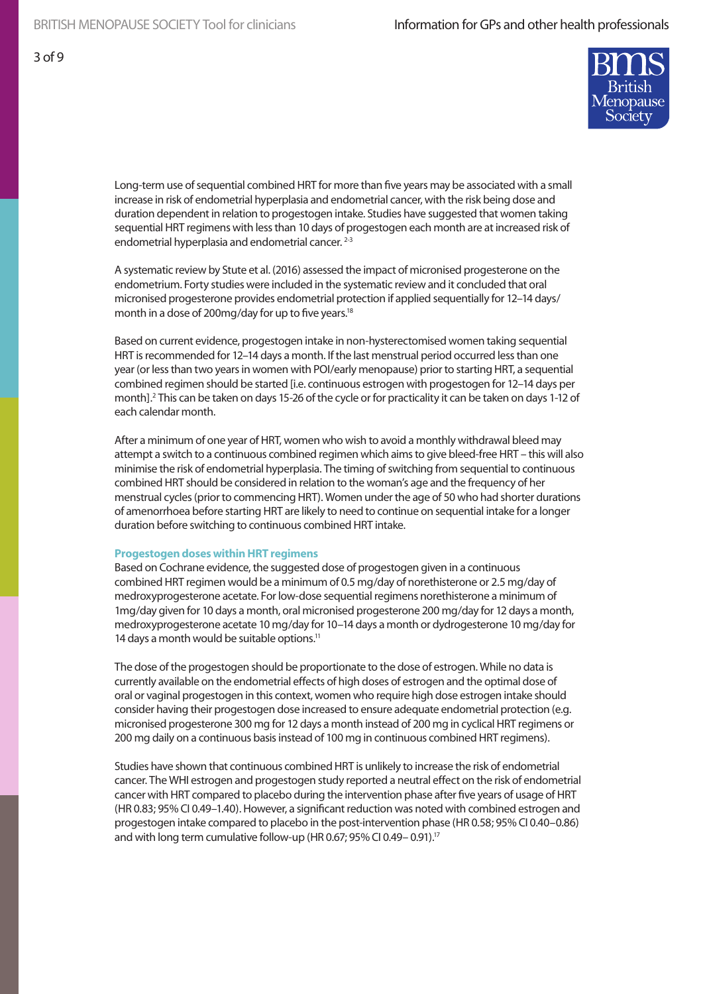Long-term use of sequential combined HRT for more than five years may be associated with a small increase in risk of endometrial hyperplasia and endometrial cancer, with the risk being dose and duration dependent in relation to progestogen intake. Studies have suggested that women taking sequential HRT regimens with less than 10 days of progestogen each month are at increased risk of endometrial hyperplasia and endometrial cancer.<sup>2-3</sup>

A systematic review by Stute et al. (2016) assessed the impact of micronised progesterone on the endometrium. Forty studies were included in the systematic review and it concluded that oral micronised progesterone provides endometrial protection if applied sequentially for 12–14 days/ month in a dose of 200mg/day for up to five years.<sup>18</sup>

Based on current evidence, progestogen intake in non-hysterectomised women taking sequential HRT is recommended for 12–14 days a month. If the last menstrual period occurred less than one year (or less than two years in women with POI/early menopause) prior to starting HRT, a sequential combined regimen should be started [i.e. continuous estrogen with progestogen for 12–14 days per month].2 This can be taken on days 15-26 of the cycle or for practicality it can be taken on days 1-12 of each calendar month.

After a minimum of one year of HRT, women who wish to avoid a monthly withdrawal bleed may attempt a switch to a continuous combined regimen which aims to give bleed-free HRT – this will also minimise the risk of endometrial hyperplasia. The timing of switching from sequential to continuous combined HRT should be considered in relation to the woman's age and the frequency of her menstrual cycles (prior to commencing HRT). Women under the age of 50 who had shorter durations of amenorrhoea before starting HRT are likely to need to continue on sequential intake for a longer duration before switching to continuous combined HRT intake.

# **Progestogen doses within HRT regimens**

Based on Cochrane evidence, the suggested dose of progestogen given in a continuous combined HRT regimen would be a minimum of 0.5 mg/day of norethisterone or 2.5 mg/day of medroxyprogesterone acetate. For low-dose sequential regimens norethisterone a minimum of 1mg/day given for 10 days a month, oral micronised progesterone 200 mg/day for 12 days a month, medroxyprogesterone acetate 10 mg/day for 10–14 days a month or dydrogesterone 10 mg/day for 14 days a month would be suitable options.<sup>11</sup>

The dose of the progestogen should be proportionate to the dose of estrogen. While no data is currently available on the endometrial effects of high doses of estrogen and the optimal dose of oral or vaginal progestogen in this context, women who require high dose estrogen intake should consider having their progestogen dose increased to ensure adequate endometrial protection (e.g. micronised progesterone 300 mg for 12 days a month instead of 200 mg in cyclical HRT regimens or 200 mg daily on a continuous basis instead of 100 mg in continuous combined HRT regimens).

Studies have shown that continuous combined HRT is unlikely to increase the risk of endometrial cancer. The WHI estrogen and progestogen study reported a neutral effect on the risk of endometrial cancer with HRT compared to placebo during the intervention phase after five years of usage of HRT (HR 0.83; 95% CI 0.49–1.40). However, a significant reduction was noted with combined estrogen and progestogen intake compared to placebo in the post-intervention phase (HR 0.58; 95% CI 0.40–0.86) and with long term cumulative follow-up (HR 0.67; 95% CI 0.49– 0.91).17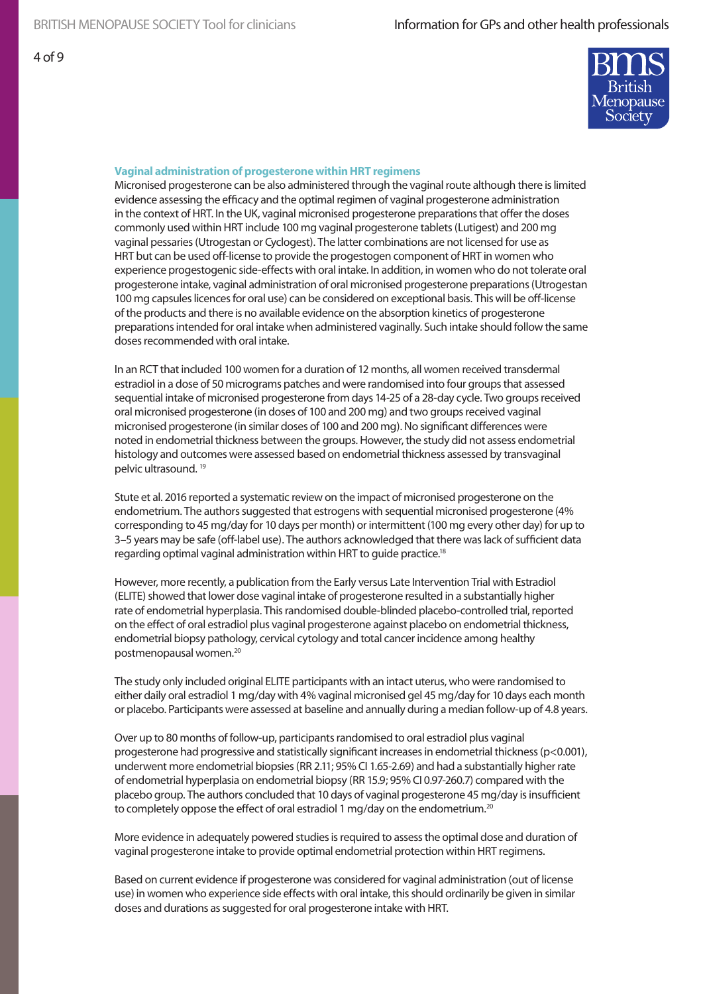

# **Vaginal administration of progesterone within HRT regimens**

Micronised progesterone can be also administered through the vaginal route although there is limited evidence assessing the efficacy and the optimal regimen of vaginal progesterone administration in the context of HRT. In the UK, vaginal micronised progesterone preparations that offer the doses commonly used within HRT include 100 mg vaginal progesterone tablets (Lutigest) and 200 mg vaginal pessaries (Utrogestan or Cyclogest). The latter combinations are not licensed for use as HRT but can be used off-license to provide the progestogen component of HRT in women who experience progestogenic side-effects with oral intake. In addition, in women who do not tolerate oral progesterone intake, vaginal administration of oral micronised progesterone preparations (Utrogestan 100 mg capsules licences for oral use) can be considered on exceptional basis. This will be off-license of the products and there is no available evidence on the absorption kinetics of progesterone preparations intended for oral intake when administered vaginally. Such intake should follow the same doses recommended with oral intake.

In an RCT that included 100 women for a duration of 12 months, all women received transdermal estradiol in a dose of 50 micrograms patches and were randomised into four groups that assessed sequential intake of micronised progesterone from days 14-25 of a 28-day cycle. Two groups received oral micronised progesterone (in doses of 100 and 200 mg) and two groups received vaginal micronised progesterone (in similar doses of 100 and 200 mg). No significant differences were noted in endometrial thickness between the groups. However, the study did not assess endometrial histology and outcomes were assessed based on endometrial thickness assessed by transvaginal pelvic ultrasound. 19

Stute et al. 2016 reported a systematic review on the impact of micronised progesterone on the endometrium. The authors suggested that estrogens with sequential micronised progesterone (4% corresponding to 45 mg/day for 10 days per month) or intermittent (100 mg every other day) for up to 3–5 years may be safe (off-label use). The authors acknowledged that there was lack of sufficient data regarding optimal vaginal administration within HRT to guide practice.18

However, more recently, a publication from the Early versus Late Intervention Trial with Estradiol (ELITE) showed that lower dose vaginal intake of progesterone resulted in a substantially higher rate of endometrial hyperplasia. This randomised double-blinded placebo-controlled trial, reported on the effect of oral estradiol plus vaginal progesterone against placebo on endometrial thickness, endometrial biopsy pathology, cervical cytology and total cancer incidence among healthy postmenopausal women.20

The study only included original ELITE participants with an intact uterus, who were randomised to either daily oral estradiol 1 mg/day with 4% vaginal micronised gel 45 mg/day for 10 days each month or placebo. Participants were assessed at baseline and annually during a median follow-up of 4.8 years.

Over up to 80 months of follow-up, participants randomised to oral estradiol plus vaginal progesterone had progressive and statistically significant increases in endometrial thickness (p<0.001), underwent more endometrial biopsies (RR 2.11; 95% CI 1.65-2.69) and had a substantially higher rate of endometrial hyperplasia on endometrial biopsy (RR 15.9; 95% CI 0.97-260.7) compared with the placebo group. The authors concluded that 10 days of vaginal progesterone 45 mg/day is insufficient to completely oppose the effect of oral estradiol 1 mg/day on the endometrium.<sup>20</sup>

More evidence in adequately powered studies is required to assess the optimal dose and duration of vaginal progesterone intake to provide optimal endometrial protection within HRT regimens.

Based on current evidence if progesterone was considered for vaginal administration (out of license use) in women who experience side effects with oral intake, this should ordinarily be given in similar doses and durations as suggested for oral progesterone intake with HRT.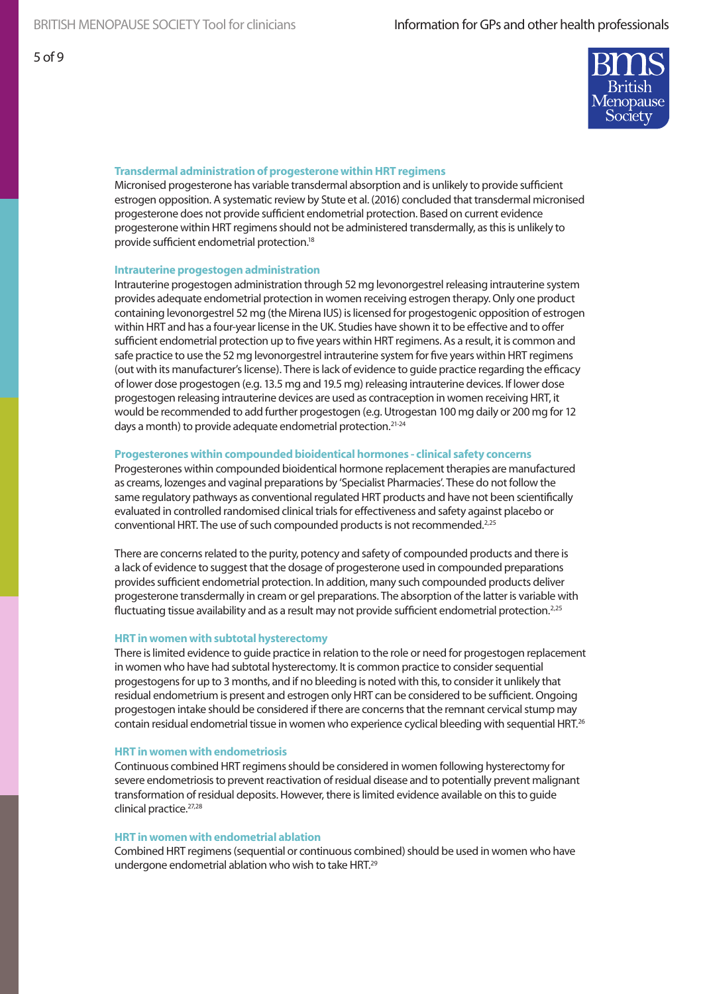# **Transdermal administration of progesterone within HRT regimens**

Micronised progesterone has variable transdermal absorption and is unlikely to provide sufficient estrogen opposition. A systematic review by Stute et al. (2016) concluded that transdermal micronised progesterone does not provide sufficient endometrial protection. Based on current evidence progesterone within HRT regimens should not be administered transdermally, as this is unlikely to provide sufficient endometrial protection.18

# **Intrauterine progestogen administration**

Intrauterine progestogen administration through 52 mg levonorgestrel releasing intrauterine system provides adequate endometrial protection in women receiving estrogen therapy. Only one product containing levonorgestrel 52 mg (the Mirena IUS) is licensed for progestogenic opposition of estrogen within HRT and has a four-year license in the UK. Studies have shown it to be effective and to offer sufficient endometrial protection up to five years within HRT regimens. As a result, it is common and safe practice to use the 52 mg levonorgestrel intrauterine system for five years within HRT regimens (out with its manufacturer's license). There is lack of evidence to guide practice regarding the efficacy of lower dose progestogen (e.g. 13.5 mg and 19.5 mg) releasing intrauterine devices. If lower dose progestogen releasing intrauterine devices are used as contraception in women receiving HRT, it would be recommended to add further progestogen (e.g. Utrogestan 100 mg daily or 200 mg for 12 days a month) to provide adequate endometrial protection.<sup>21-24</sup>

#### **Progesterones within compounded bioidentical hormones - clinical safety concerns**

Progesterones within compounded bioidentical hormone replacement therapies are manufactured as creams, lozenges and vaginal preparations by 'Specialist Pharmacies'. These do not follow the same regulatory pathways as conventional regulated HRT products and have not been scientifically evaluated in controlled randomised clinical trials for effectiveness and safety against placebo or conventional HRT. The use of such compounded products is not recommended.<sup>2,25</sup>

There are concerns related to the purity, potency and safety of compounded products and there is a lack of evidence to suggest that the dosage of progesterone used in compounded preparations provides sufficient endometrial protection. In addition, many such compounded products deliver progesterone transdermally in cream or gel preparations. The absorption of the latter is variable with fluctuating tissue availability and as a result may not provide sufficient endometrial protection.<sup>2,25</sup>

# **HRT in women with subtotal hysterectomy**

There is limited evidence to guide practice in relation to the role or need for progestogen replacement in women who have had subtotal hysterectomy. It is common practice to consider sequential progestogens for up to 3 months, and if no bleeding is noted with this, to consider it unlikely that residual endometrium is present and estrogen only HRT can be considered to be sufficient. Ongoing progestogen intake should be considered if there are concerns that the remnant cervical stump may contain residual endometrial tissue in women who experience cyclical bleeding with sequential HRT.<sup>26</sup>

#### **HRT in women with endometriosis**

Continuous combined HRT regimens should be considered in women following hysterectomy for severe endometriosis to prevent reactivation of residual disease and to potentially prevent malignant transformation of residual deposits. However, there is limited evidence available on this to guide clinical practice.27,28

# **HRT in women with endometrial ablation**

Combined HRT regimens (sequential or continuous combined) should be used in women who have undergone endometrial ablation who wish to take HRT.29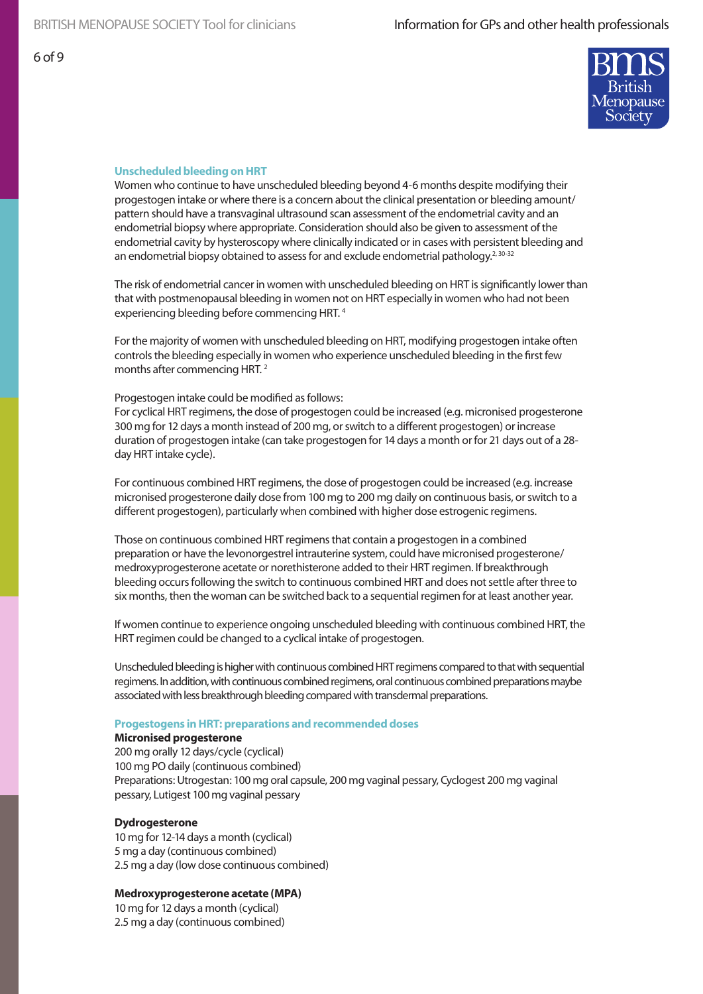

# **Unscheduled bleeding on HRT**

Women who continue to have unscheduled bleeding beyond 4-6 months despite modifying their progestogen intake or where there is a concern about the clinical presentation or bleeding amount/ pattern should have a transvaginal ultrasound scan assessment of the endometrial cavity and an endometrial biopsy where appropriate. Consideration should also be given to assessment of the endometrial cavity by hysteroscopy where clinically indicated or in cases with persistent bleeding and an endometrial biopsy obtained to assess for and exclude endometrial pathology.<sup>2, 30-32</sup>

The risk of endometrial cancer in women with unscheduled bleeding on HRT is significantly lower than that with postmenopausal bleeding in women not on HRT especially in women who had not been experiencing bleeding before commencing HRT. 4

For the majority of women with unscheduled bleeding on HRT, modifying progestogen intake often controls the bleeding especially in women who experience unscheduled bleeding in the first few months after commencing HRT.<sup>2</sup>

# Progestogen intake could be modified as follows:

For cyclical HRT regimens, the dose of progestogen could be increased (e.g. micronised progesterone 300 mg for 12 days a month instead of 200 mg, or switch to a different progestogen) or increase duration of progestogen intake (can take progestogen for 14 days a month or for 21 days out of a 28 day HRT intake cycle).

For continuous combined HRT regimens, the dose of progestogen could be increased (e.g. increase micronised progesterone daily dose from 100 mg to 200 mg daily on continuous basis, or switch to a different progestogen), particularly when combined with higher dose estrogenic regimens.

Those on continuous combined HRT regimens that contain a progestogen in a combined preparation or have the levonorgestrel intrauterine system, could have micronised progesterone/ medroxyprogesterone acetate or norethisterone added to their HRT regimen. If breakthrough bleeding occurs following the switch to continuous combined HRT and does not settle after three to six months, then the woman can be switched back to a sequential regimen for at least another year.

If women continue to experience ongoing unscheduled bleeding with continuous combined HRT, the HRT regimen could be changed to a cyclical intake of progestogen.

Unscheduled bleeding is higher with continuous combined HRT regimens compared to that with sequential regimens. In addition, with continuous combined regimens, oral continuous combined preparations maybe associated with less breakthrough bleeding compared with transdermal preparations.

# **Progestogens in HRT: preparations and recommended doses**

# **Micronised progesterone**

200 mg orally 12 days/cycle (cyclical) 100 mg PO daily (continuous combined) Preparations: Utrogestan: 100 mg oral capsule, 200 mg vaginal pessary, Cyclogest 200 mg vaginal pessary, Lutigest 100 mg vaginal pessary

# **Dydrogesterone**

10 mg for 12-14 days a month (cyclical) 5 mg a day (continuous combined) 2.5 mg a day (low dose continuous combined)

# **Medroxyprogesterone acetate (MPA)**

10 mg for 12 days a month (cyclical) 2.5 mg a day (continuous combined)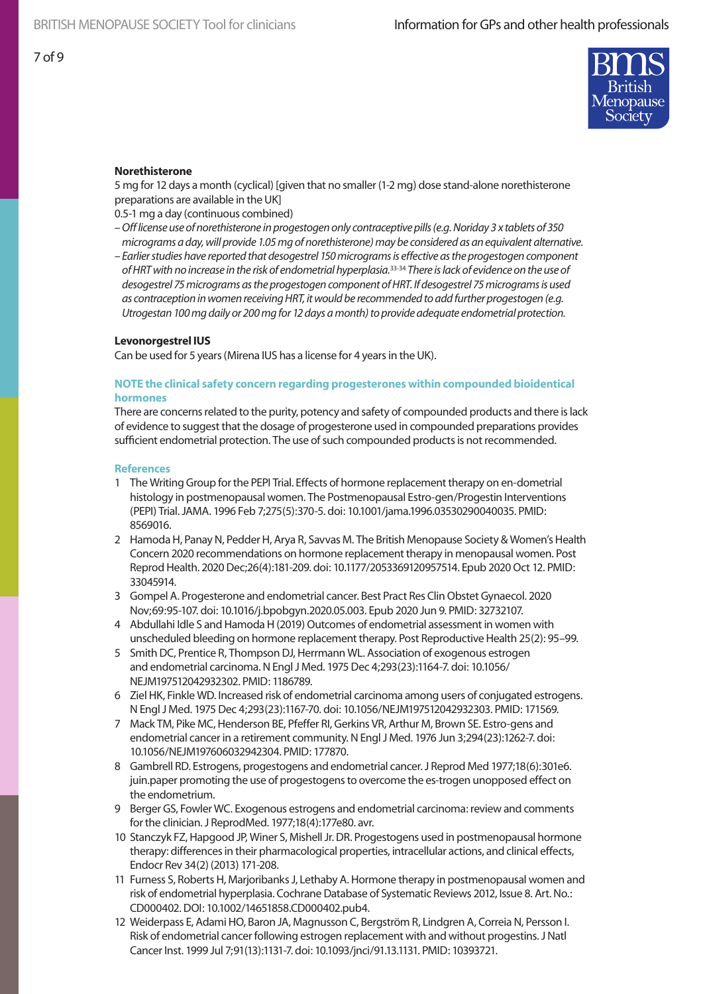# **Norethisterone**

5 mg for 12 days a month (cyclical) [given that no smaller (1-2 mg) dose stand-alone norethisterone preparations are available in the UK]

0.5-1 mg a day (continuous combined)

- *Off license use of norethisterone in progestogen only contraceptive pills (e.g. Noriday 3 x tablets of 350 micrograms a day, will provide 1.05 mg of norethisterone) may be considered as an equivalent alternative.*
- *Earlier studies have reported that desogestrel 150 micrograms is effective as the progestogen component of HRT with no increase in the risk of endometrial hyperplasia.*33-34 *There is lack of evidence on the use of desogestrel 75 micrograms as the progestogen component of HRT. If desogestrel 75 micrograms is used as contraception in women receiving HRT, it would be recommended to add further progestogen (e.g. Utrogestan 100 mg daily or 200 mg for 12 days a month) to provide adequate endometrial protection.*

# **Levonorgestrel IUS**

Can be used for 5 years (Mirena IUS has a license for 4 years in the UK).

# **NOTE the clinical safety concern regarding progesterones within compounded bioidentical hormones**

There are concerns related to the purity, potency and safety of compounded products and there is lack of evidence to suggest that the dosage of progesterone used in compounded preparations provides sufficient endometrial protection. The use of such compounded products is not recommended.

# **References**

- 1 The Writing Group for the PEPI Trial. Effects of hormone replacement therapy on en-dometrial histology in postmenopausal women. The Postmenopausal Estro-gen/Progestin Interventions (PEPI) Trial. JAMA. 1996 Feb 7;275(5):370-5. doi: 10.1001/jama.1996.03530290040035. PMID: 8569016.
- 2 Hamoda H, Panay N, Pedder H, Arya R, Savvas M. The British Menopause Society & Women's Health Concern 2020 recommendations on hormone replacement therapy in menopausal women. Post Reprod Health. 2020 Dec;26(4):181-209. doi: 10.1177/2053369120957514. Epub 2020 Oct 12. PMID: 33045914.
- 3 Gompel A. Progesterone and endometrial cancer. Best Pract Res Clin Obstet Gynaecol. 2020 Nov;69:95-107. doi: 10.1016/j.bpobgyn.2020.05.003. Epub 2020 Jun 9. PMID: 32732107.
- 4 Abdullahi Idle S and Hamoda H (2019) Outcomes of endometrial assessment in women with unscheduled bleeding on hormone replacement therapy. Post Reproductive Health 25(2): 95–99.
- 5 Smith DC, Prentice R, Thompson DJ, Herrmann WL. Association of exogenous estrogen and endometrial carcinoma. N Engl J Med. 1975 Dec 4;293(23):1164-7. doi: 10.1056/ NEJM197512042932302. PMID: 1186789.
- 6 Ziel HK, Finkle WD. Increased risk of endometrial carcinoma among users of conjugated estrogens. N Engl J Med. 1975 Dec 4;293(23):1167-70. doi: 10.1056/NEJM197512042932303. PMID: 171569.
- 7 Mack TM, Pike MC, Henderson BE, Pfeffer RI, Gerkins VR, Arthur M, Brown SE. Estro-gens and endometrial cancer in a retirement community. N Engl J Med. 1976 Jun 3;294(23):1262-7. doi: 10.1056/NEJM197606032942304. PMID: 177870.
- 8 Gambrell RD. Estrogens, progestogens and endometrial cancer. J Reprod Med 1977;18(6):301e6. juin.paper promoting the use of progestogens to overcome the es-trogen unopposed effect on the endometrium.
- 9 Berger GS, Fowler WC. Exogenous estrogens and endometrial carcinoma: review and comments for the clinician. J ReprodMed. 1977;18(4):177e80. avr.
- 10 Stanczyk FZ, Hapgood JP, Winer S, Mishell Jr. DR. Progestogens used in postmenopausal hormone therapy: differences in their pharmacological properties, intracellular actions, and clinical effects, Endocr Rev 34(2) (2013) 171-208.
- 11 Furness S, Roberts H, Marjoribanks J, Lethaby A. Hormone therapy in postmenopausal women and risk of endometrial hyperplasia. Cochrane Database of Systematic Reviews 2012, Issue 8. Art. No.: CD000402. DOI: 10.1002/14651858.CD000402.pub4.
- 12 Weiderpass E, Adami HO, Baron JA, Magnusson C, Bergström R, Lindgren A, Correia N, Persson I. Risk of endometrial cancer following estrogen replacement with and without progestins. J Natl Cancer Inst. 1999 Jul 7;91(13):1131-7. doi: 10.1093/jnci/91.13.1131. PMID: 10393721.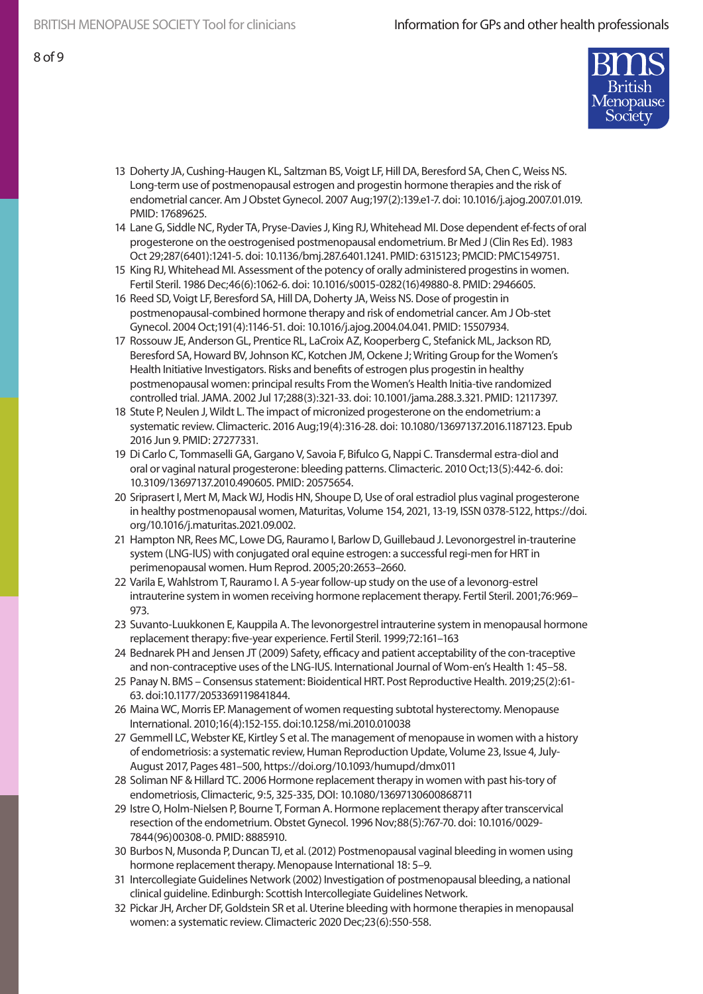

- 13 Doherty JA, Cushing-Haugen KL, Saltzman BS, Voigt LF, Hill DA, Beresford SA, Chen C, Weiss NS. Long-term use of postmenopausal estrogen and progestin hormone therapies and the risk of endometrial cancer. Am J Obstet Gynecol. 2007 Aug;197(2):139.e1-7. doi: 10.1016/j.ajog.2007.01.019. PMID: 17689625.
- 14 Lane G, Siddle NC, Ryder TA, Pryse-Davies J, King RJ, Whitehead MI. Dose dependent ef-fects of oral progesterone on the oestrogenised postmenopausal endometrium. Br Med J (Clin Res Ed). 1983 Oct 29;287(6401):1241-5. doi: 10.1136/bmj.287.6401.1241. PMID: 6315123; PMCID: PMC1549751.
- 15 King RJ, Whitehead MI. Assessment of the potency of orally administered progestins in women. Fertil Steril. 1986 Dec;46(6):1062-6. doi: 10.1016/s0015-0282(16)49880-8. PMID: 2946605.
- 16 Reed SD, Voigt LF, Beresford SA, Hill DA, Doherty JA, Weiss NS. Dose of progestin in postmenopausal-combined hormone therapy and risk of endometrial cancer. Am J Ob-stet Gynecol. 2004 Oct;191(4):1146-51. doi: 10.1016/j.ajog.2004.04.041. PMID: 15507934.
- 17 Rossouw JE, Anderson GL, Prentice RL, LaCroix AZ, Kooperberg C, Stefanick ML, Jackson RD, Beresford SA, Howard BV, Johnson KC, Kotchen JM, Ockene J; Writing Group for the Women's Health Initiative Investigators. Risks and benefits of estrogen plus progestin in healthy postmenopausal women: principal results From the Women's Health Initia-tive randomized controlled trial. JAMA. 2002 Jul 17;288(3):321-33. doi: 10.1001/jama.288.3.321. PMID: 12117397.
- 18 Stute P, Neulen J, Wildt L. The impact of micronized progesterone on the endometrium: a systematic review. Climacteric. 2016 Aug;19(4):316-28. doi: 10.1080/13697137.2016.1187123. Epub 2016 Jun 9. PMID: 27277331.
- 19 Di Carlo C, Tommaselli GA, Gargano V, Savoia F, Bifulco G, Nappi C. Transdermal estra-diol and oral or vaginal natural progesterone: bleeding patterns. Climacteric. 2010 Oct;13(5):442-6. doi: 10.3109/13697137.2010.490605. PMID: 20575654.
- 20 Sriprasert I, Mert M, Mack WJ, Hodis HN, Shoupe D, Use of oral estradiol plus vaginal progesterone in healthy postmenopausal women, Maturitas, Volume 154, 2021, 13-19, ISSN 0378-5122, https://doi. org/10.1016/j.maturitas.2021.09.002.
- 21 Hampton NR, Rees MC, Lowe DG, Rauramo I, Barlow D, Guillebaud J. Levonorgestrel in-trauterine system (LNG-IUS) with conjugated oral equine estrogen: a successful regi-men for HRT in perimenopausal women. Hum Reprod. 2005;20:2653–2660.
- 22 Varila E, Wahlstrom T, Rauramo I. A 5-year follow-up study on the use of a levonorg-estrel intrauterine system in women receiving hormone replacement therapy. Fertil Steril. 2001;76:969– 973.
- 23 Suvanto-Luukkonen E, Kauppila A. The levonorgestrel intrauterine system in menopausal hormone replacement therapy: five-year experience. Fertil Steril. 1999;72:161–163
- 24 Bednarek PH and Jensen JT (2009) Safety, efficacy and patient acceptability of the con-traceptive and non-contraceptive uses of the LNG-IUS. International Journal of Wom-en's Health 1: 45–58.
- 25 Panay N. BMS Consensus statement: Bioidentical HRT. Post Reproductive Health. 2019;25(2):61- 63. doi:10.1177/2053369119841844.
- 26 Maina WC, Morris EP. Management of women requesting subtotal hysterectomy. Menopause International. 2010;16(4):152-155. doi:10.1258/mi.2010.010038
- 27 Gemmell LC, Webster KE, Kirtley S et al. The management of menopause in women with a history of endometriosis: a systematic review, Human Reproduction Update, Volume 23, Issue 4, July-August 2017, Pages 481–500, https://doi.org/10.1093/humupd/dmx011
- 28 Soliman NF & Hillard TC. 2006 Hormone replacement therapy in women with past his-tory of endometriosis, Climacteric, 9:5, 325-335, DOI: 10.1080/13697130600868711
- 29 Istre O, Holm-Nielsen P, Bourne T, Forman A. Hormone replacement therapy after transcervical resection of the endometrium. Obstet Gynecol. 1996 Nov;88(5):767-70. doi: 10.1016/0029- 7844(96)00308-0. PMID: 8885910.
- 30 Burbos N, Musonda P, Duncan TJ, et al. (2012) Postmenopausal vaginal bleeding in women using hormone replacement therapy. Menopause International 18: 5–9.
- 31 Intercollegiate Guidelines Network (2002) Investigation of postmenopausal bleeding, a national clinical guideline. Edinburgh: Scottish Intercollegiate Guidelines Network.
- 32 Pickar JH, Archer DF, Goldstein SR et al. Uterine bleeding with hormone therapies in menopausal women: a systematic review. Climacteric 2020 Dec;23(6):550-558.